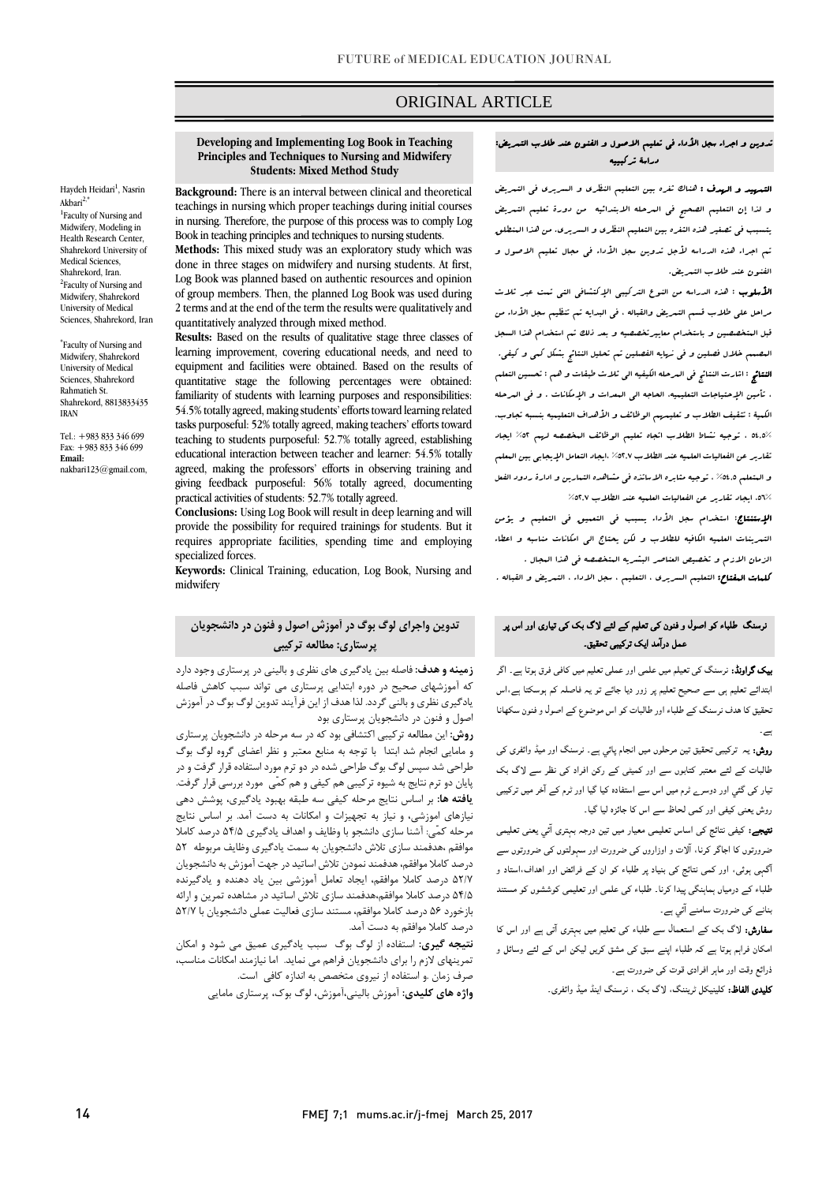# ORIGINAL ARTICLE

#### **Developing and Implementing Log Book in Teaching Principles and Techniques to Nursing and Midwifery Students: Mixed Method Study**

**Background:** There is an interval between clinical and theoretical teachings in nursing which proper teachings during initial courses in nursing. Therefore, the purpose of this process was to comply Log Book in teaching principles and techniques to nursing students.

**Methods:** This mixed study was an exploratory study which was done in three stages on midwifery and nursing students. At first, Log Book was planned based on authentic resources and opinion of group members. Then, the planned Log Book was used during 2 terms and at the end of the term the results were qualitatively and quantitatively analyzed through mixed method.

**Results:** Based on the results of qualitative stage three classes of learning improvement, covering educational needs, and need to equipment and facilities were obtained. Based on the results of quantitative stage the following percentages were obtained: familiarity of students with learning purposes and responsibilities: 54.5% totally agreed, making students' efforts toward learning related tasks purposeful: 52% totally agreed, making teachers' efforts toward teaching to students purposeful: 52.7% totally agreed, establishing educational interaction between teacher and learner: 54.5% totally agreed, making the professors' efforts in observing training and giving feedback purposeful: 56% totally agreed, documenting practical activities of students: 52.7% totally agreed.

**Conclusions:** Using Log Book will result in deep learning and will provide the possibility for required trainings for students. But it requires appropriate facilities, spending time and employing specialized forces.

**Keywords:** Clinical Training, education, Log Book, Nursing and midwifery

# **تدوین واجراي لوگ بوگ در آموزش اصول و فنون در دانشجویان پرستاري: مطالعه ترکیبی**

**زمینه و هدف:** فاصله بین یادگیري هاي نظري و بالینی در پرستاري وجود دارد که آموزشهاي صحیح در دوره ابتدایی پرستاري می تواند سبب کاهش فاصله یادگیري نظري و بالنی گردد. لذا هدف از این فرآیند تدوین لوگ بوگ در آموزش اصول و فنون در دانشجویان پرستاري بود

**روش:** این مطالعه ترکیبی اکتشافی بود که در سه مرحله در دانشجویان پرستاري و مامایی انجام شد ابتدا با توجه به منابع معتبر و نظر اعضاي گروه لوگ بوگ طراحی شد سپس لوگ بوگ طراحی شده در دو ترم مورد استفاده قرار گرفت و در پایان دو ترم نتایج به شیوه ترکیبی هم کیفی و هم کمّی مورد بررسی قرار گرفت. **یافته ها:** بر اساس نتایج مرحله کیفی سه طبقه بهبود یادگیري، پوشش دهی نیازهاي اموزشی، و نیاز به تجهیزات و امکانات به دست آمد. بر اساس نتایج مرحله کمّی: آشنا سازي دانشجو با وظایف و اهداف یادگیري 54/5 درصد کاملا موافقم ،هدفمند سازي تلاش دانشجویان به سمت یادگیري وظایف مربوطه 52 درصد کاملا موافقم، هدفمند نمودن تلاش اساتید در جهت آموزش به دانشجویان 52/7 درصد کاملا موافقم، ایجاد تعامل آموزشی بین یاد دهنده و یادگیرنده 54/5 درصد کاملا موافقم،هدفمند سازي تلاش اساتید در مشاهده تمرین و ارائه بازخورد 56 درصد کاملا موافقم، مستند سازي فعالیت عملی دانشجویان با 52/7 درصد کاملا موافقم به دست آمد.

**نتیجه گیري:** استفاده از لوگ بوگ سبب یادگیري عمیق می شود و امکان تمرینهاي لازم را براي دانشجویان فراهم می نماید. اما نیازمند امکانات مناسب، صرف زمان .و استفاده از نیروي متخصص به اندازه کافی است. **واژه هاي کلیدي:** آموزش بالینی،آموزش، لوگ بوك، پرستاري مامایی

## تدوین و اجراء سجل الأداء فی تعلیم الاصول و الفنون عند طلاب التمریض: دراسۀ ترکبییه

ص

التمهید و الهدف : هناك ثغره بین التعلیم النظري و السریري فی التمریض و لذا إن التعلیم الصحیح فی المرحله الابتدائیه من دورة تعلیم التمریض یتسبب فی تصغیر هذه الثغره بین التعلیم النظري و السریري. من هذا المنطلق تم اجراء هذه الدراسه لأجل تدوین سجل الأداء فی مجال تعلیم الاصول و الفنون عند طلاب التمریض.

الأسلوب : هذه الدراسه من النوع الترکیبی الإکتشافی التی تمت عبر ثلاث مراحل علی طلاب قسم التمریض والقباله ، فی البدایه تم تنظیم سجل الأداء من قبل المتخصصین و باستخدام معاییرتخصصیه و بعد ذلک تم استخدام هذا السجل المصمم خلال فصلین و فی نهایه الفصلین تم تحلیل النتائج بشکل کمی و کیفی. النتائج : اشارت النتائج فی المرحله الکیفیه الی ثلاث طبقات و هم : تحسین التعلم ، تأمین الإحتیاجات التعلیمیه، الحاجه الی المعدات و الإمکانات . و فی المرحله الکمیۀ : تثقیف الطلاب و تعلیمهم الوظائف و الأهداف التعلیمیه بنسبه تجاوب. 54,5% ، توجیه نشاط الطلاب اتجاه تعلیم الوظائف المخصصه لهم %52 ایجاد تقاریر عن الفعالیات العلمیه عند الطلاب %52,7 ،ایجاد التعامل الإیجابی بین المعلم و المتعلم %54,5 ، توجیه مثابره الاساتذه فی مشاهده التمارین و ادارة ردود الفعل ،56% ایجاد تقاریر عن الفعالیات العلمیه عند الطلاب %52,7

الإستنتاج: استخدام سجل الأداء یسبب فی التعمیق فی التعلیم و یؤمن التمرینات العلمیه الکافیه للطلاب و لکن یحتاج الی امکانات مناسبه و اعطاء الزمان الازم و تخصیص العناصر البشریه المتخصصه فی هذا المجال . کلمات المفتاح: التعلیم السریري ، التعلیم ، سجل الاداء ، التمریض و القباله .

# نرسنگ طلباء کو اصول و فنون کی تعلیم کے لئے ��گ بک کی تیاری اور اس پر عمل درآمد ایک ترکیبی تحقیق۔

بیک گراونڈ: نرسنگ کی تعیلم میں علمی اور عملی تعلیم میں کافی فرق ہوتا ہے۔ اگر ابتدائے تعلیم ہی سے صحیح تعلیم پر زور دیا جائے تو یہ فاصلہ کم ہوسکتا ہے،اس تحقیق کا ھدف نرسنگ کے طلباء اور طالبات کو اس موضوع کے اصول و فنون سکھانا

ہے۔

روش: یہ ترکیبی تحقیق تین مرحلوں میں انجام پائي ہے۔ نرسنگ اور میڈ وائفری کی طالبات کے لئے معتبر کتابوں سے اور کمیٹی کے رکن افراد کی نظر سے ��گ بک تیار کی گئي اور دوسرے ٹرم میں اس سے استفادہ کیا گيا اور ٹرم کے آخر میں ترکیبی روش یعنی کیفی اور کمی لحاظ سے اس کا جائزہ لیا گیا۔

نتیجے: کیفی نتائج کی اساس تعلیمی معیار میں تین درجہ بہتری آئي یعنی تعلیمی ضرورتوں کا اجاگر کرنا، آ��ت و اوزاروں کی ضرورت اور سہولتوں کی ضرورتوں سے آگہی ہوئی، اور کمی نتائج کی بنیاد پر طلباء کو ان کے فرائض اور اھداف،استاد و طلباء کے درمیاں ہماہنگی پیدا کرنا۔ طلباء کی علمی اور تعلیمی کوششوں کو مستند بنانے کی ضرورت سامنے آئي ہے۔

**سفارش:** لاگ بک کے استعمال سے طلباء کی تعلیم میں بہتری آتی ہے اور اس کا امکان فراہم ہوتا ہے کہ طلباء اپنے سبق کی مشق کریں لیکن اس کے لئے وسائل و ذرائع وقت اور ماہر افرادی قوت کی ضرورت ہے۔

کلیدی الفاظ: کلینیکل ٹریننگ، ��گ بک ، نرسنگ اینڈ میڈ وائفری۔

Haydeh Heidari<sup>1</sup>, Nasrin

<sup>1</sup>Faculty of Nursing and Midwifery, Modeling in Health Research Center, Shahrekord University of Medical Sciences, Shahrekord, Iran. <sup>2</sup>Faculty of Nursing and Midwifery, Shahrekord University of Medical Sciences, Shahrekord, Iran \* Faculty of Nursing and Midwifery, Shahrekord University of Medical Sciences, Shahrekord Rahmatieh St. Shahrekord, 8813833435

Akbari<sup>2,\*</sup>

IRAN

**Email:** 

Tel.: +983 833 346 699 Fax: +983 833 346 699

nakbari123@gmail.com,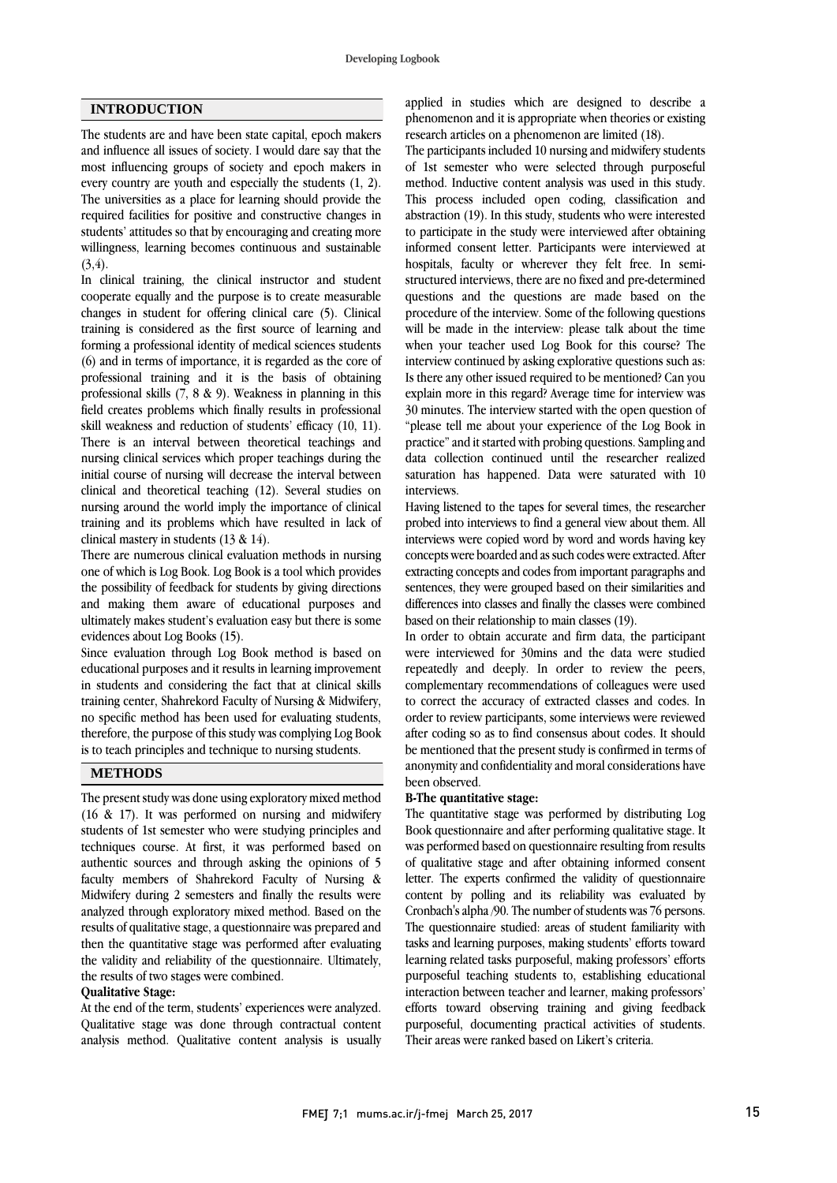## **INTRODUCTION**

The students are and have been state capital, epoch makers and influence all issues of society. I would dare say that the most influencing groups of society and epoch makers in every country are youth and especially the students (1, 2). The universities as a place for learning should provide the required facilities for positive and constructive changes in students' attitudes so that by encouraging and creating more willingness, learning becomes continuous and sustainable  $(3, 4)$ .

In clinical training, the clinical instructor and student cooperate equally and the purpose is to create measurable changes in student for offering clinical care (5). Clinical training is considered as the first source of learning and forming a professional identity of medical sciences students (6) and in terms of importance, it is regarded as the core of professional training and it is the basis of obtaining professional skills (7, 8 & 9). Weakness in planning in this field creates problems which finally results in professional skill weakness and reduction of students' efficacy (10, 11). There is an interval between theoretical teachings and nursing clinical services which proper teachings during the initial course of nursing will decrease the interval between clinical and theoretical teaching (12). Several studies on nursing around the world imply the importance of clinical training and its problems which have resulted in lack of clinical mastery in students (13 & 14).

There are numerous clinical evaluation methods in nursing one of which is Log Book. Log Book is a tool which provides the possibility of feedback for students by giving directions and making them aware of educational purposes and ultimately makes student's evaluation easy but there is some evidences about Log Books (15).

Since evaluation through Log Book method is based on educational purposes and it results in learning improvement in students and considering the fact that at clinical skills training center, Shahrekord Faculty of Nursing & Midwifery, no specific method has been used for evaluating students, therefore, the purpose of this study was complying Log Book is to teach principles and technique to nursing students.

## **METHODS**

The present study was done using exploratory mixed method (16 & 17). It was performed on nursing and midwifery students of 1st semester who were studying principles and techniques course. At first, it was performed based on authentic sources and through asking the opinions of 5 faculty members of Shahrekord Faculty of Nursing & Midwifery during 2 semesters and finally the results were analyzed through exploratory mixed method. Based on the results of qualitative stage, a questionnaire was prepared and then the quantitative stage was performed after evaluating the validity and reliability of the questionnaire. Ultimately, the results of two stages were combined.

## **Qualitative Stage:**

At the end of the term, students' experiences were analyzed. Qualitative stage was done through contractual content analysis method. Qualitative content analysis is usually applied in studies which are designed to describe a phenomenon and it is appropriate when theories or existing research articles on a phenomenon are limited (18).

The participants included 10 nursing and midwifery students of 1st semester who were selected through purposeful method. Inductive content analysis was used in this study. This process included open coding, classification and abstraction (19). In this study, students who were interested to participate in the study were interviewed after obtaining informed consent letter. Participants were interviewed at hospitals, faculty or wherever they felt free. In semistructured interviews, there are no fixed and pre-determined questions and the questions are made based on the procedure of the interview. Some of the following questions will be made in the interview: please talk about the time when your teacher used Log Book for this course? The interview continued by asking explorative questions such as: Is there any other issued required to be mentioned? Can you explain more in this regard? Average time for interview was 30 minutes. The interview started with the open question of "please tell me about your experience of the Log Book in practice" and it started with probing questions. Sampling and data collection continued until the researcher realized saturation has happened. Data were saturated with 10 interviews.

Having listened to the tapes for several times, the researcher probed into interviews to find a general view about them. All interviews were copied word by word and words having key concepts were boarded and as such codes were extracted. After extracting concepts and codes from important paragraphs and sentences, they were grouped based on their similarities and differences into classes and finally the classes were combined based on their relationship to main classes (19).

In order to obtain accurate and firm data, the participant were interviewed for 30mins and the data were studied repeatedly and deeply. In order to review the peers, complementary recommendations of colleagues were used to correct the accuracy of extracted classes and codes. In order to review participants, some interviews were reviewed after coding so as to find consensus about codes. It should be mentioned that the present study is confirmed in terms of anonymity and confidentiality and moral considerations have been observed.

## **B-The quantitative stage:**

The quantitative stage was performed by distributing Log Book questionnaire and after performing qualitative stage. It was performed based on questionnaire resulting from results of qualitative stage and after obtaining informed consent letter. The experts confirmed the validity of questionnaire content by polling and its reliability was evaluated by Cronbach's alpha /90. The number of students was 76 persons. The questionnaire studied: areas of student familiarity with tasks and learning purposes, making students' efforts toward learning related tasks purposeful, making professors' efforts purposeful teaching students to, establishing educational interaction between teacher and learner, making professors' efforts toward observing training and giving feedback purposeful, documenting practical activities of students. Their areas were ranked based on Likert's criteria.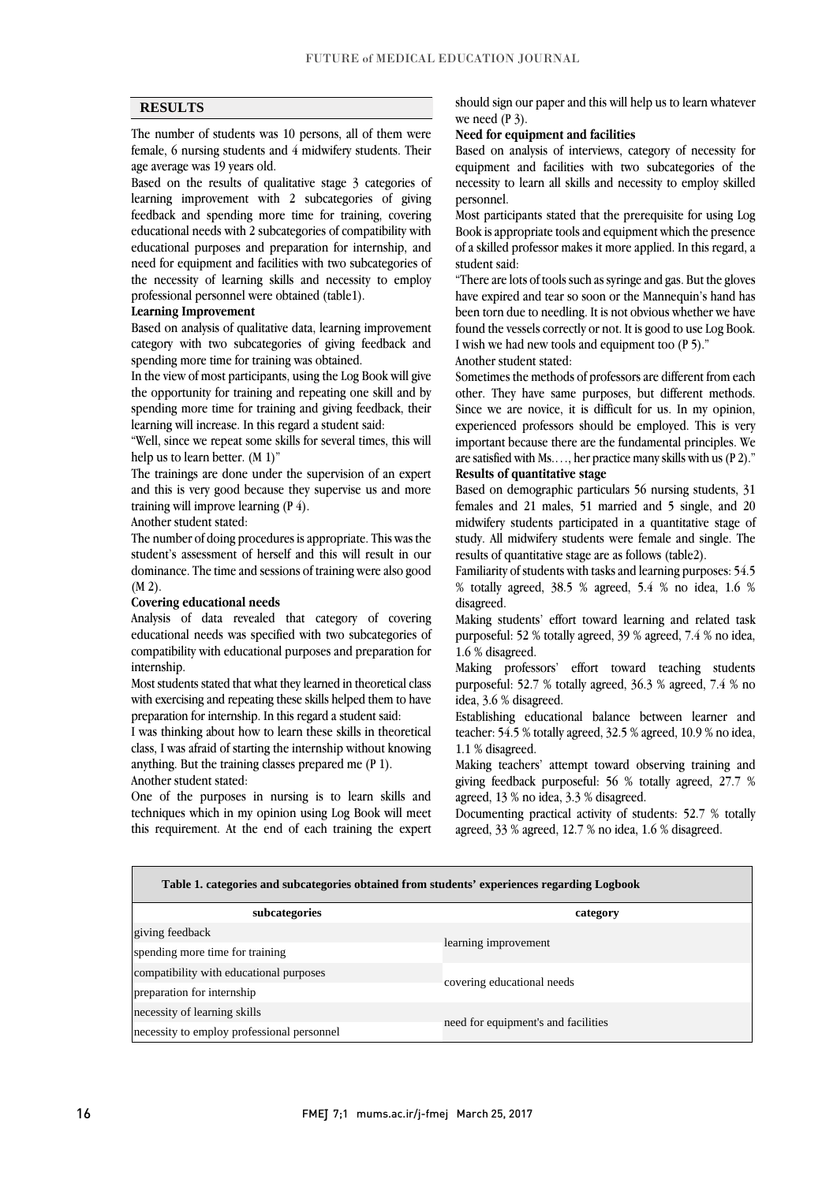## **RESULTS**

The number of students was 10 persons, all of them were female, 6 nursing students and 4 midwifery students. Their age average was 19 years old.

Based on the results of qualitative stage 3 categories of learning improvement with 2 subcategories of giving feedback and spending more time for training, covering educational needs with 2 subcategories of compatibility with educational purposes and preparation for internship, and need for equipment and facilities with two subcategories of the necessity of learning skills and necessity to employ professional personnel were obtained (table1).

#### **Learning Improvement**

Based on analysis of qualitative data, learning improvement category with two subcategories of giving feedback and spending more time for training was obtained.

In the view of most participants, using the Log Book will give the opportunity for training and repeating one skill and by spending more time for training and giving feedback, their learning will increase. In this regard a student said:

"Well, since we repeat some skills for several times, this will help us to learn better. (M 1)"

The trainings are done under the supervision of an expert and this is very good because they supervise us and more training will improve learning (P 4).

Another student stated:

The number of doing procedures is appropriate. This was the student's assessment of herself and this will result in our dominance. The time and sessions of training were also good (M 2).

#### **Covering educational needs**

Analysis of data revealed that category of covering educational needs was specified with two subcategories of compatibility with educational purposes and preparation for internship.

Most students stated that what they learned in theoretical class with exercising and repeating these skills helped them to have preparation for internship. In this regard a student said:

I was thinking about how to learn these skills in theoretical class, I was afraid of starting the internship without knowing anything. But the training classes prepared me (P 1). Another student stated:

One of the purposes in nursing is to learn skills and techniques which in my opinion using Log Book will meet this requirement. At the end of each training the expert should sign our paper and this will help us to learn whatever we need (P 3).

#### **Need for equipment and facilities**

Based on analysis of interviews, category of necessity for equipment and facilities with two subcategories of the necessity to learn all skills and necessity to employ skilled personnel.

Most participants stated that the prerequisite for using Log Book is appropriate tools and equipment which the presence of a skilled professor makes it more applied. In this regard, a student said:

"There are lots of tools such as syringe and gas. But the gloves have expired and tear so soon or the Mannequin's hand has been torn due to needling. It is not obvious whether we have found the vessels correctly or not. It is good to use Log Book. I wish we had new tools and equipment too (P 5)."

Another student stated:

Sometimes the methods of professors are different from each other. They have same purposes, but different methods. Since we are novice, it is difficult for us. In my opinion, experienced professors should be employed. This is very important because there are the fundamental principles. We are satisfied with Ms.…, her practice many skills with us (P 2)." **Results of quantitative stage** 

Based on demographic particulars 56 nursing students, 31 females and 21 males, 51 married and 5 single, and 20 midwifery students participated in a quantitative stage of study. All midwifery students were female and single. The results of quantitative stage are as follows (table2).

Familiarity of students with tasks and learning purposes: 54.5 % totally agreed, 38.5 % agreed, 5.4 % no idea, 1.6 % disagreed.

Making students' effort toward learning and related task purposeful: 52 % totally agreed, 39 % agreed, 7.4 % no idea, 1.6 % disagreed.

Making professors' effort toward teaching students purposeful: 52.7 % totally agreed, 36.3 % agreed, 7.4 % no idea, 3.6 % disagreed.

Establishing educational balance between learner and teacher: 54.5 % totally agreed, 32.5 % agreed, 10.9 % no idea, 1.1 % disagreed.

Making teachers' attempt toward observing training and giving feedback purposeful: 56 % totally agreed, 27.7 % agreed, 13 % no idea, 3.3 % disagreed.

Documenting practical activity of students: 52.7 % totally agreed, 33 % agreed, 12.7 % no idea, 1.6 % disagreed.

| Table 1. categories and subcategories obtained from students' experiences regarding Logbook |                                     |  |  |  |  |
|---------------------------------------------------------------------------------------------|-------------------------------------|--|--|--|--|
| subcategories                                                                               | category                            |  |  |  |  |
| giving feedback                                                                             | learning improvement                |  |  |  |  |
| spending more time for training                                                             |                                     |  |  |  |  |
| compatibility with educational purposes                                                     | covering educational needs          |  |  |  |  |
| preparation for internship                                                                  |                                     |  |  |  |  |
| necessity of learning skills                                                                |                                     |  |  |  |  |
| necessity to employ professional personnel                                                  | need for equipment's and facilities |  |  |  |  |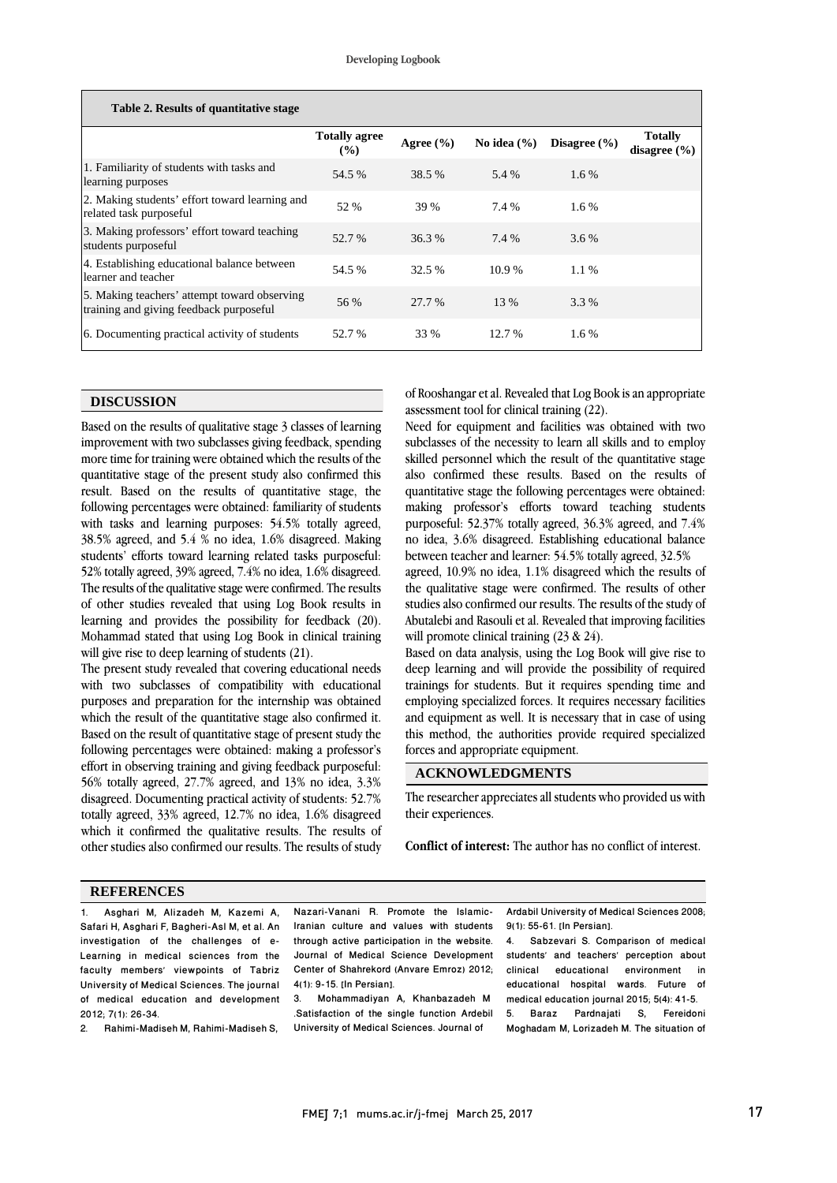| Table 2. Results of quantitative stage                                                  |                                |               |                 |                  |                                    |  |  |
|-----------------------------------------------------------------------------------------|--------------------------------|---------------|-----------------|------------------|------------------------------------|--|--|
|                                                                                         | <b>Totally agree</b><br>$(\%)$ | Agree $(\% )$ | No idea $(\% )$ | Disagree $(\% )$ | <b>Totally</b><br>disagree $(\% )$ |  |  |
| 1. Familiarity of students with tasks and<br>learning purposes                          | 54.5 %                         | 38.5 %        | 5.4 %           | $1.6\%$          |                                    |  |  |
| 2. Making students' effort toward learning and<br>related task purposeful               | 52 %                           | 39 %          | 7.4 %           | $1.6\%$          |                                    |  |  |
| 3. Making professors' effort toward teaching<br>students purposeful                     | 52.7 %                         | 36.3%         | 7.4 %           | $3.6\%$          |                                    |  |  |
| 4. Establishing educational balance between<br>learner and teacher                      | 54.5 %                         | 32.5 %        | $10.9\%$        | $1.1\%$          |                                    |  |  |
| 5. Making teachers' attempt toward observing<br>training and giving feedback purposeful | 56 %                           | 27.7 %        | 13 %            | 3.3 %            |                                    |  |  |
| 6. Documenting practical activity of students                                           | 52.7 %                         | 33 %          | 12.7 %          | 1.6 %            |                                    |  |  |

#### **DISCUSSION**

Based on the results of qualitative stage 3 classes of learning improvement with two subclasses giving feedback, spending more time for training were obtained which the results of the quantitative stage of the present study also confirmed this result. Based on the results of quantitative stage, the following percentages were obtained: familiarity of students with tasks and learning purposes: 54.5% totally agreed, 38.5% agreed, and 5.4 % no idea, 1.6% disagreed. Making students' efforts toward learning related tasks purposeful: 52% totally agreed, 39% agreed, 7.4% no idea, 1.6% disagreed. The results of the qualitative stage were confirmed. The results of other studies revealed that using Log Book results in learning and provides the possibility for feedback (20). Mohammad stated that using Log Book in clinical training will give rise to deep learning of students (21).

The present study revealed that covering educational needs with two subclasses of compatibility with educational purposes and preparation for the internship was obtained which the result of the quantitative stage also confirmed it. Based on the result of quantitative stage of present study the following percentages were obtained: making a professor's effort in observing training and giving feedback purposeful: 56% totally agreed, 27.7% agreed, and 13% no idea, 3.3% disagreed. Documenting practical activity of students: 52.7% totally agreed, 33% agreed, 12.7% no idea, 1.6% disagreed which it confirmed the qualitative results. The results of other studies also confirmed our results. The results of study of Rooshangar et al. Revealed that Log Book is an appropriate assessment tool for clinical training (22).

Need for equipment and facilities was obtained with two subclasses of the necessity to learn all skills and to employ skilled personnel which the result of the quantitative stage also confirmed these results. Based on the results of quantitative stage the following percentages were obtained: making professor's efforts toward teaching students purposeful: 52.37% totally agreed, 36.3% agreed, and 7.4% no idea, 3.6% disagreed. Establishing educational balance between teacher and learner: 54.5% totally agreed, 32.5%

agreed, 10.9% no idea, 1.1% disagreed which the results of the qualitative stage were confirmed. The results of other studies also confirmed our results. The results of the study of Abutalebi and Rasouli et al. Revealed that improving facilities will promote clinical training (23 & 24).

Based on data analysis, using the Log Book will give rise to deep learning and will provide the possibility of required trainings for students. But it requires spending time and employing specialized forces. It requires necessary facilities and equipment as well. It is necessary that in case of using this method, the authorities provide required specialized forces and appropriate equipment.

## **ACKNOWLEDGMENTS**

The researcher appreciates all students who provided us with their experiences.

**Conflict of interest:** The author has no conflict of interest.

## **REFERENCES**

1. Asghari M, Alizadeh M, Kazemi A, Safari H, Asghari F, Bagheri-Asl M, et al. An investigation of the challenges of e-Learning in medical sciences from the faculty members' viewpoints of Tabriz University of Medical Sciences. The journal of medical education and development 2012; 7(1): 26-34.

2. Rahimi-Madiseh M, Rahimi-Madiseh S,

Nazari-Vanani R. Promote the Islamic-Iranian culture and values with students through active participation in the website. Journal of Medical Science Development Center of Shahrekord (Anvare Emroz) 2012; 4(1): 9-15. [In Persian].

3. Mohammadiyan A, Khanbazadeh M .Satisfaction of the single function Ardebil University of Medical Sciences. Journal of

Ardabil University of Medical Sciences 2008; 9(1): 55-61. [In Persian].

4. Sabzevari S. Comparison of medical students' and teachers' perception about clinical educational environment in educational hospital wards. Future of medical education journal 2015; 5(4): 41-5. 5. Baraz Pardnajati S, Fereidoni Moghadam M, Lorizadeh M. The situation of